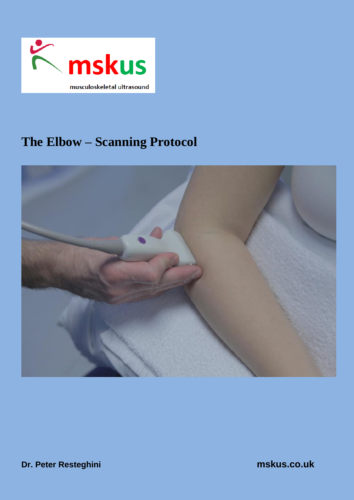

# **The Elbow – Scanning Protocol**



**Dr. Peter Resteghini mskus.co.uk**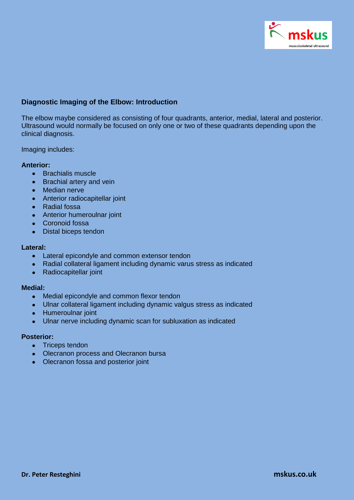

## **Diagnostic Imaging of the Elbow: Introduction**

The elbow maybe considered as consisting of four quadrants, anterior, medial, lateral and posterior. Ultrasound would normally be focused on only one or two of these quadrants depending upon the clinical diagnosis.

Imaging includes:

### **Anterior:**

- Brachialis muscle
- Brachial artery and vein
- Median nerve
- Anterior radiocapitellar joint
- Radial fossa
- Anterior humeroulnar joint
- Coronoid fossa
- $\bullet$ Distal biceps tendon

#### **Lateral:**

- Lateral epicondyle and common extensor tendon
- Radial collateral ligament including dynamic varus stress as indicated  $\bullet$
- Radiocapitellar joint  $\bullet$

#### **Medial:**

- Medial epicondyle and common flexor tendon  $\bullet$
- Ulnar collateral ligament including dynamic valgus stress as indicated
- Humeroulnar joint
- Ulnar nerve including dynamic scan for subluxation as indicated  $\bullet$

#### **Posterior:**

- Triceps tendon  $\bullet$
- Olecranon process and Olecranon bursa  $\bullet$
- Olecranon fossa and posterior joint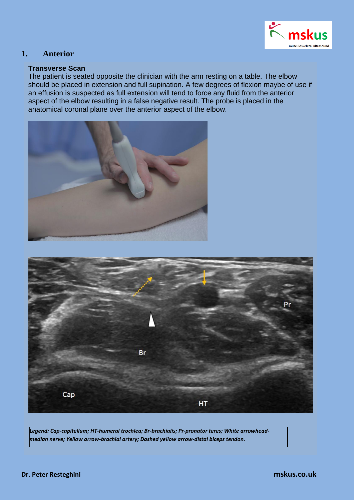

# **1. Anterior**

## **Transverse Scan**

The patient is seated opposite the clinician with the arm resting on a table. The elbow should be placed in extension and full supination. A few degrees of flexion maybe of use if an effusion is suspected as full extension will tend to force any fluid from the anterior aspect of the elbow resulting in a false negative result. The probe is placed in the anatomical coronal plane over the anterior aspect of the elbow.





*Legend: Cap-capitellum; HT-humeral trochlea; Br-brachialis; Pr-pronator teres; White arrowheadmedian nerve; Yellow arrow-brachial artery; Dashed yellow arrow-distal biceps tendon.*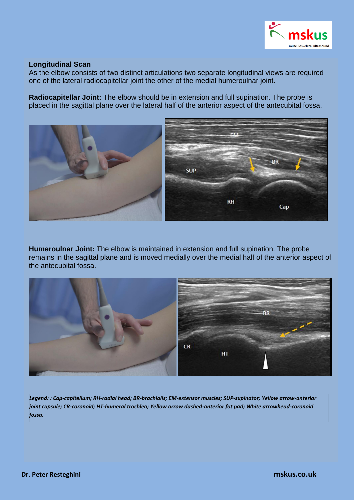

### **Longitudinal Scan**

As the elbow consists of two distinct articulations two separate longitudinal views are required one of the lateral radiocapitellar joint the other of the medial humeroulnar joint.

**Radiocapitellar Joint:** The elbow should be in extension and full supination. The probe is placed in the sagittal plane over the lateral half of the anterior aspect of the antecubital fossa.



**Humeroulnar Joint:** The elbow is maintained in extension and full supination. The probe remains in the sagittal plane and is moved medially over the medial half of the anterior aspect of the antecubital fossa.



*Legend: : Cap-capitellum; RH-radial head; BR-brachialis; EM-extensor muscles; SUP-supinator; Yellow arrow-anterior joint capsule; CR-coronoid; HT-humeral trochlea; Yellow arrow dashed-anterior fat pad; White arrowhead-coronoid fossa.*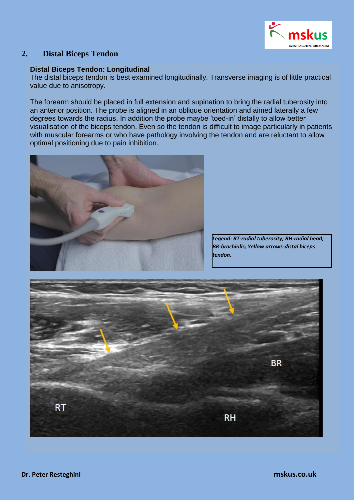

# **2. Distal Biceps Tendon**

## **Distal Biceps Tendon: Longitudinal**

The distal biceps tendon is best examined longitudinally. Transverse imaging is of little practical value due to anisotropy.

The forearm should be placed in full extension and supination to bring the radial tuberosity into an anterior position. The probe is aligned in an oblique orientation and aimed laterally a few degrees towards the radius. In addition the probe maybe 'toed-in' distally to allow better visualisation of the biceps tendon. Even so the tendon is difficult to image particularly in patients with muscular forearms or who have pathology involving the tendon and are reluctant to allow optimal positioning due to pain inhibition.



*Legend: RT-radial tuberosity; RH-radial head; BR-brachialis; Yellow arrows-distal biceps tendon.*

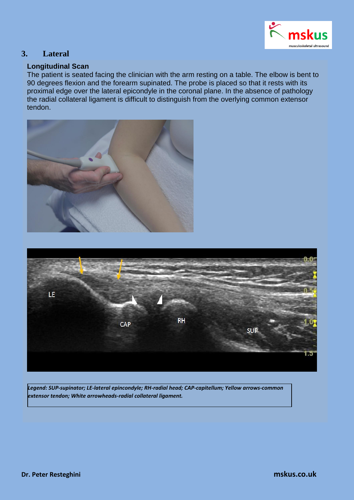

# **3. Lateral**

## **Longitudinal Scan**

The patient is seated facing the clinician with the arm resting on a table. The elbow is bent to 90 degrees flexion and the forearm supinated. The probe is placed so that it rests with its proximal edge over the lateral epicondyle in the coronal plane. In the absence of pathology the radial collateral ligament is difficult to distinguish from the overlying common extensor tendon.





*Legend: SUP-supinator; LE-lateral epincondyle; RH-radial head; CAP-capitellum; Yellow arrows-common extensor tendon; White arrowheads-radial collateral ligament.*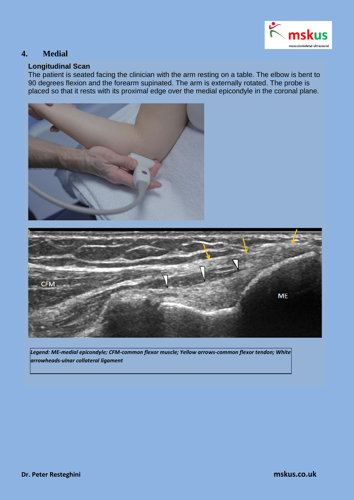

# **4. Medial**

## **Longitudinal Scan**

The patient is seated facing the clinician with the arm resting on a table. The elbow is bent to 90 degrees flexion and the forearm supinated. The arm is externally rotated. The probe is placed so that it rests with its proximal edge over the medial epicondyle in the coronal plane.





*Legend: ME-medial epicondyle; CFM-common flexor muscle; Yellow arrows-common flexor tendon; White arrowheads-ulnar collateral ligament*